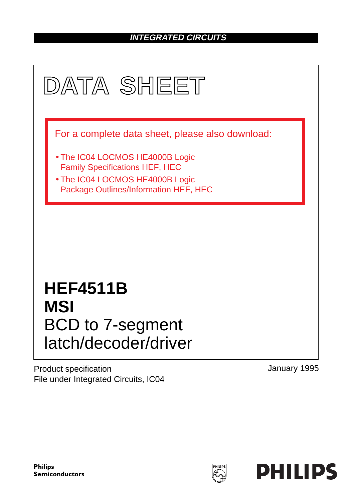## **INTEGRATED CIRCUITS**



Product specification File under Integrated Circuits, IC04 January 1995

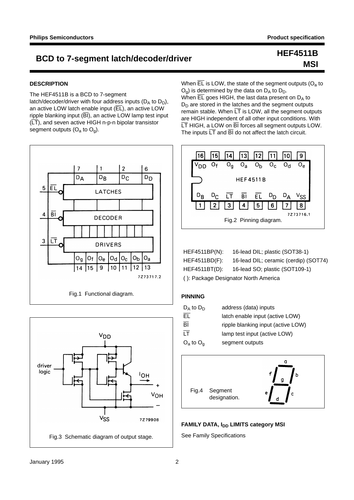## BCD to 7-segment latch/decoder/driver<br>
example:

# **MSI**

#### **DESCRIPTION**

The HEF4511B is a BCD to 7-segment latch/decoder/driver with four address inputs ( $D_A$  to  $D_D$ ), an active LOW latch enable input  $(E<sub>L</sub>)$ , an active LOW ripple blanking input  $(BI)$ , an active LOW lamp test input  $(\overline{LT})$ , and seven active HIGH n-p-n bipolar transistor segment outputs  $(O_a$  to  $O_q)$ .





When  $\overline{EL}$  is LOW, the state of the segment outputs ( $O<sub>a</sub>$  to  $O<sub>q</sub>$ ) is determined by the data on  $D<sub>A</sub>$  to  $D<sub>D</sub>$ .

When  $\overline{EL}$  goes HIGH, the last data present on  $D_A$  to  $D_D$  are stored in the latches and the segment outputs remain stable. When  $\overline{LT}$  is LOW, all the segment outputs are HIGH independent of all other input conditions. With LT HIGH, a LOW on BI forces all segment outputs LOW. The inputs  $\overline{\text{LT}}$  and  $\overline{\text{BI}}$  do not affect the latch circuit.



| HEF4511BP(N):                        | 16-lead DIL; plastic (SOT38-1)        |  |  |  |  |  |  |
|--------------------------------------|---------------------------------------|--|--|--|--|--|--|
| $HEF4511BD(F)$ :                     | 16-lead DIL; ceramic (cerdip) (SOT74) |  |  |  |  |  |  |
| HEF4511BT(D):                        | 16-lead SO; plastic (SOT109-1)        |  |  |  |  |  |  |
| (): Package Designator North America |                                       |  |  |  |  |  |  |

| $D_A$ to $D_D$  | address (data) inputs              |
|-----------------|------------------------------------|
| EL.             | latch enable input (active LOW)    |
| $\overline{BI}$ | ripple blanking input (active LOW) |
| <b>IT</b>       | lamp test input (active LOW)       |
| $O_a$ to $O_a$  | segment outputs                    |



#### **FAMILY DATA, I<sub>DD</sub> LIMITS category MSI**

See Family Specifications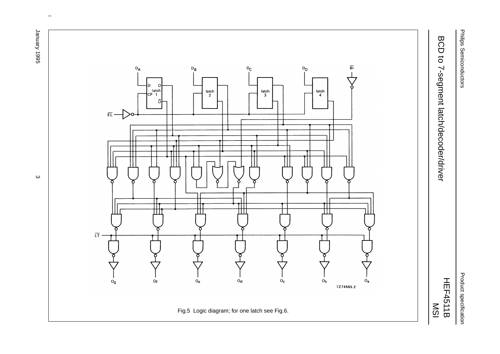Philips Semiconductors Philips Semiconductors

Product specification Product specification

# BCD to 7-segment latch/decoder/driver BCD to 7-segment latch/decoder/driver

HEF4511B



 $\omega$  rotated correctly when browsing through the pdf in the Acrobat reader.This text is here in the pdf in the  $\alpha$ 

January 1995 January 1995 3

ပ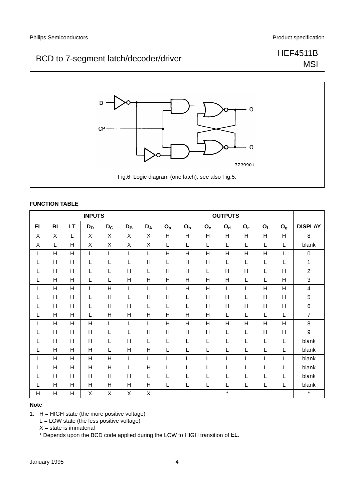## BCD to 7-segment latch/decoder/driver Match/decoder/driver

# **MSI**



#### **FUNCTION TABLE**

| <b>INPUTS</b>   |                 |                        |                |                |              |       | <b>OUTPUTS</b> |                |                |                           |                |                |                |                         |
|-----------------|-----------------|------------------------|----------------|----------------|--------------|-------|----------------|----------------|----------------|---------------------------|----------------|----------------|----------------|-------------------------|
| $\overline{EL}$ | $\overline{BI}$ | $\overline{\text{LT}}$ | $D_D$          | $D_C$          | $D_{B}$      | $D_A$ | $O_{a}$        | O <sub>b</sub> | $O_c$          | $\mathbf{O}_{\mathbf{d}}$ | $O_e$          | $O_f$          | O <sub>g</sub> | <b>DISPLAY</b>          |
| X               | X               | L                      | X              | X              | X            | X     | Н              | H              | H              | H                         | H              | $\overline{H}$ | $\overline{H}$ | 8                       |
| X               | L               | Н                      | X              | X              | X            | Χ     | L              | L              | L              | L                         | L              | L              | L              | blank                   |
| L               | H               | H                      | L              | L              | L            | L     | H              | Η              | Н              | Н                         | $\overline{H}$ | H              | L              | 0                       |
| L               | H               | H                      | L              | L              | L            | H     | L              | H              | H              | L                         | L              | L              | L              | 1                       |
| L               | H               | H                      | L              | L              | H            | L     | H              | H              | L              | H                         | Н              | L              | H              | $\overline{c}$          |
| L               | H               | H                      | L              | L              | H            | Η     | Н              | H              | H              | H                         | L              | L              | H              | 3                       |
|                 | $\overline{H}$  | H                      | L              | H              | L            |       | L              | н              | $\overline{H}$ | L                         |                | $\overline{H}$ | $\overline{H}$ | $\overline{\mathbf{4}}$ |
| L               | H               | H                      | L              | H              | L            | Η     | H              | L              | H              | $\overline{H}$            | L              | $\overline{H}$ | Н              | 5                       |
| L               | $\overline{H}$  | H                      | L              | H              | H            | L     | L              | L              | Н              | H                         | н              | $\overline{H}$ | H              | 6                       |
| L               | H               | $\overline{H}$         | L              | H              | H            | Н     | H              | н              | Н              | L                         | L              | L              | L              | $\overline{7}$          |
|                 | $\overline{H}$  | H                      | $\overline{H}$ | L              | L            |       | H              | H              | $\overline{H}$ | H                         | $\mathsf{H}$   | $\overline{H}$ | $\overline{H}$ | 8                       |
| L               | H               | H                      | Н              | L              | L            | Η     | H              | Η              | Н              | L                         | L              | H              | H              | 9                       |
|                 | H               | H                      | Н              | L              | H            | L     | L              | L              | L              | L                         | L              | L              | L              | blank                   |
|                 | H               | $\overline{H}$         | Н              | L              | H            | Η     | L              |                | L              |                           |                | L              | L              | blank                   |
|                 | $\overline{H}$  | $\overline{H}$         | $\overline{H}$ | $\overline{H}$ | L            |       |                |                |                |                           |                | L              |                | blank                   |
|                 | H               | H                      | Η              | H              | L            | H     |                |                | L              |                           |                | L              | L              | blank                   |
| L               | H               | H                      | Н              | H              | $\mathsf{H}$ | L     | L              |                | L              | L                         | L              | L              | L              | blank                   |
|                 | H               | $\overline{H}$         | н              | H              | Н            | н     | L              |                | L              | L                         | L              | L              | L              | blank                   |
| Н               | $\overline{H}$  | $\overline{H}$         | X              | X              | X            | X     |                |                |                | $\star$                   |                |                |                | $\star$                 |

#### **Note**

1.  $H = HIGH state$  (the more positive voltage)

 $L =$  LOW state (the less positive voltage)

 $X = state$  is immaterial

\* Depends upon the BCD code applied during the LOW to HIGH transition of EL.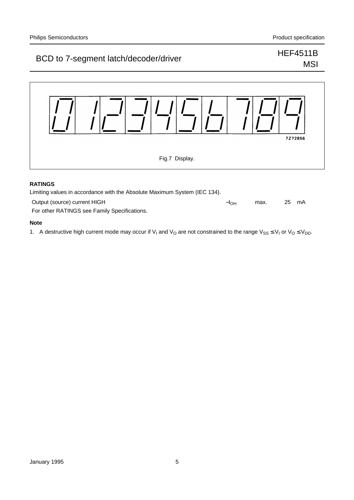## BCD to 7-segment latch/decoder/driver<br>
BCD to 7-segment latch/decoder/driver

# **MSI**



#### **RATINGS**

| Limiting values in accordance with the Absolute Maximum System (IEC 134). |           |      |    |    |  |  |  |
|---------------------------------------------------------------------------|-----------|------|----|----|--|--|--|
| Output (source) current HIGH                                              | $-I_{OH}$ | max. | 25 | mA |  |  |  |
| For other RATINGS see Family Specifications.                              |           |      |    |    |  |  |  |

#### **Note**

1. A destructive high current mode may occur if V<sub>I</sub> and V<sub>O</sub> are not constrained to the range V<sub>SS</sub>  $\leq$  V<sub>I</sub> or V<sub>O</sub>  $\leq$  V<sub>DD</sub>.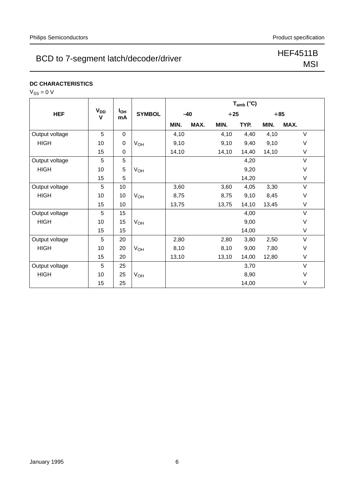## BCD to 7-segment latch/decoder/driver<br>
MSL

# MSI

## **DC CHARACTERISTICS**

| v<br>╮ |  |  | J |  |
|--------|--|--|---|--|
|--------|--|--|---|--|

|                |                            |                       |                 | $T_{amb}$ (°C) |       |       |       |       |        |
|----------------|----------------------------|-----------------------|-----------------|----------------|-------|-------|-------|-------|--------|
| <b>HEF</b>     | <b>V<sub>DD</sub></b><br>V | I <sub>OH</sub><br>mA | <b>SYMBOL</b>   |                | $-40$ |       | $+25$ |       | $+85$  |
|                |                            |                       |                 | MIN.           | MAX.  | MIN.  | TYP.  | MIN.  | MAX.   |
| Output voltage | 5                          | 0                     |                 | 4,10           |       | 4,10  | 4,40  | 4,10  | $\vee$ |
| <b>HIGH</b>    | 10                         | 0                     | V <sub>OH</sub> | 9,10           |       | 9,10  | 9,40  | 9,10  | V      |
|                | 15                         | 0                     |                 | 14,10          |       | 14,10 | 14,40 | 14,10 | V      |
| Output voltage | 5                          | 5                     |                 |                |       |       | 4,20  |       | V      |
| <b>HIGH</b>    | 10                         | 5                     | V <sub>OH</sub> |                |       |       | 9,20  |       | $\vee$ |
|                | 15                         | 5                     |                 |                |       |       | 14,20 |       | V      |
| Output voltage | 5                          | 10 <sup>1</sup>       |                 | 3,60           |       | 3,60  | 4,05  | 3,30  | $\vee$ |
| <b>HIGH</b>    | 10                         | 10                    | V <sub>OH</sub> | 8,75           |       | 8,75  | 9,10  | 8,45  | V      |
|                | 15                         | 10 <sup>1</sup>       |                 | 13,75          |       | 13,75 | 14,10 | 13,45 | V      |
| Output voltage | 5                          | 15                    |                 |                |       |       | 4,00  |       | $\vee$ |
| <b>HIGH</b>    | 10                         | 15                    | V <sub>OH</sub> |                |       |       | 9,00  |       | V      |
|                | 15                         | 15                    |                 |                |       |       | 14,00 |       | $\vee$ |
| Output voltage | 5                          | 20                    |                 | 2,80           |       | 2,80  | 3,80  | 2,50  | $\vee$ |
| <b>HIGH</b>    | 10                         | 20                    | $V_{OH}$        | 8,10           |       | 8,10  | 9,00  | 7,80  | V      |
|                | 15                         | 20                    |                 | 13,10          |       | 13,10 | 14,00 | 12,80 | V      |
| Output voltage | 5                          | 25                    |                 |                |       |       | 3,70  |       | V      |
| <b>HIGH</b>    | 10                         | 25                    | VOH             |                |       |       | 8,90  |       | V      |
|                | 15                         | 25                    |                 |                |       |       | 14,00 |       | V      |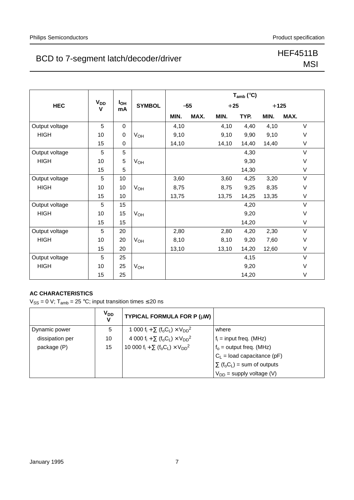## BCD to 7-segment latch/decoder/driver<br>
MSL

# **MSI**

|                |                            |                       |                       |       |       |       | $T_{amb}$ (°C) |        |        |
|----------------|----------------------------|-----------------------|-----------------------|-------|-------|-------|----------------|--------|--------|
| <b>HEC</b>     | <b>V<sub>DD</sub></b><br>V | l <sub>OH</sub><br>mA | <b>SYMBOL</b>         |       | $-55$ |       | $+25$          | $+125$ |        |
|                |                            |                       |                       | MIN.  | MAX.  | MIN.  | TYP.           | MIN.   | MAX.   |
| Output voltage | 5                          | 0                     |                       | 4,10  |       | 4,10  | 4,40           | 4,10   | V      |
| <b>HIGH</b>    | 10                         | 0                     | <b>V<sub>OH</sub></b> | 9,10  |       | 9,10  | 9,90           | 9,10   | V      |
|                | 15                         | 0                     |                       | 14,10 |       | 14,10 | 14,40          | 14,40  | V      |
| Output voltage | 5                          | 5                     |                       |       |       |       | 4,30           |        | $\vee$ |
| <b>HIGH</b>    | 10                         | 5                     | V <sub>OH</sub>       |       |       |       | 9,30           |        | V      |
|                | 15                         | 5                     |                       |       |       |       | 14,30          |        | V      |
| Output voltage | 5                          | 10                    |                       | 3,60  |       | 3,60  | 4,25           | 3,20   | $\vee$ |
| <b>HIGH</b>    | 10                         | 10                    | V <sub>OH</sub>       | 8,75  |       | 8,75  | 9,25           | 8,35   | V      |
|                | 15                         | 10                    |                       | 13,75 |       | 13,75 | 14,25          | 13,35  | V      |
| Output voltage | 5                          | 15                    |                       |       |       |       | 4,20           |        | $\vee$ |
| <b>HIGH</b>    | 10                         | 15                    | V <sub>OH</sub>       |       |       |       | 9,20           |        | V      |
|                | 15                         | 15                    |                       |       |       |       | 14,20          |        | $\vee$ |
| Output voltage | 5                          | 20                    |                       | 2,80  |       | 2,80  | 4,20           | 2,30   | V      |
| <b>HIGH</b>    | 10                         | 20                    | <b>V<sub>OH</sub></b> | 8,10  |       | 8,10  | 9,20           | 7,60   | V      |
|                | 15                         | 20                    |                       | 13,10 |       | 13,10 | 14,20          | 12,60  | V      |
| Output voltage | 5                          | 25                    |                       |       |       |       | 4,15           |        | $\vee$ |
| <b>HIGH</b>    | 10                         | 25                    | <b>V<sub>OH</sub></b> |       |       |       | 9,20           |        | V      |
|                | 15                         | 25                    |                       |       |       |       | 14,20          |        | $\vee$ |

## **AC CHARACTERISTICS**

 $V_{SS} = 0$  V; T<sub>amb</sub> = 25 °C; input transition times  $\leq$  20 ns

|                 | <b>V<sub>DD</sub></b><br>V | <b>TYPICAL FORMULA FOR P (<math>\mu</math>W)</b>                                                |                                                            |
|-----------------|----------------------------|-------------------------------------------------------------------------------------------------|------------------------------------------------------------|
| Dynamic power   | 5                          | 1 000 $f_i + \sum (f_o C_L) \times V_{DD}^2$                                                    | where                                                      |
| dissipation per | 10                         | 4 000 f <sub>i</sub> + $\Sigma$ (f <sub>o</sub> C <sub>L</sub> ) × V <sub>DD</sub> <sup>2</sup> | $f_i$ = input freq. (MHz)                                  |
| package (P)     | 15                         | 10 000 $f_i + \sum (f_o C_l) \times V_{DD}^2$                                                   | $f_0$ = output freq. (MHz)                                 |
|                 |                            |                                                                                                 | $C_L$ = load capacitance (pF)                              |
|                 |                            |                                                                                                 | $\Sigma$ (f <sub>o</sub> C <sub>L</sub> ) = sum of outputs |
|                 |                            |                                                                                                 | $V_{DD}$ = supply voltage (V)                              |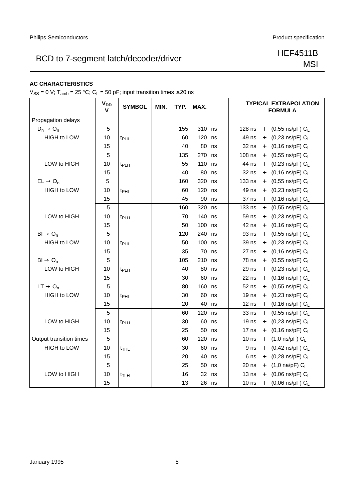## BCD to 7-segment latch/decoder/driver<br>
MSL

# MSI

## **AC CHARACTERISTICS**

 $V_{SS} = 0$  V; T<sub>amb</sub> = 25 °C; C<sub>L</sub> = 50 pF; input transition times  $\leq$  20 ns

|                                           | $V_{DD}$<br>$\mathbf v$ | <b>SYMBOL</b>    | MIN.<br>TYP.<br>MAX. |     |         |    | <b>TYPICAL EXTRAPOLATION</b><br><b>FORMULA</b>                  |
|-------------------------------------------|-------------------------|------------------|----------------------|-----|---------|----|-----------------------------------------------------------------|
| Propagation delays                        |                         |                  |                      |     |         |    |                                                                 |
| $D_n \rightarrow O_n$                     | 5                       |                  |                      | 155 | 310 ns  |    | 128 ns<br>(0,55 ns/pF) $\rm C_{L}$<br>$+$                       |
| <b>HIGH to LOW</b>                        | 10                      | t <sub>PHL</sub> |                      | 60  | 120     | ns | 49 ns<br>(0,23 ns/pF) $C_L$<br>$+$                              |
|                                           | 15                      |                  |                      | 40  | 80      | ns | 32 ns<br>$(0, 16 \text{ ns/pF}) C_L$<br>$+$                     |
|                                           | 5                       |                  |                      | 135 | 270     | ns | $108$ ns<br>(0,55 ns/pF) $C_L$<br>$+$                           |
| LOW to HIGH                               | 10                      | t <sub>PLH</sub> |                      | 55  | 110     | ns | 44 ns<br>(0,23 ns/pF) $C_L$<br>$+$                              |
|                                           | 15                      |                  |                      | 40  | 80      | ns | 32 ns<br>$(0, 16 \text{ ns/pF}) C_L$<br>$^{+}$                  |
| $\overline{EL} \rightarrow O_n$           | 5                       |                  |                      | 160 | 320 ns  |    | 133 ns<br>(0,55 ns/pF) $C_L$<br>$+$                             |
| <b>HIGH to LOW</b>                        | 10                      | t <sub>PHL</sub> |                      | 60  | 120     | ns | 49 ns<br>+ $(0,23 \text{ ns/pF}) C_L$                           |
|                                           | 15                      |                  |                      | 45  | 90 ns   |    | (0,16 ns/pF) $C_L$<br>37 ns<br>$+$                              |
|                                           | 5                       |                  |                      | 160 | 320     | ns | 133 ns<br>$(0,55 \text{ ns/pF}) C_L$<br>$+$                     |
| LOW to HIGH                               | 10                      | t <sub>PLH</sub> |                      | 70  | 140     | ns | 59 ns<br>(0,23 ns/pF) $C_L$<br>$+$                              |
|                                           | 15                      |                  |                      | 50  | 100     | ns | 42 ns<br>$(0, 16 \text{ ns/pF}) C_L$<br>$+$                     |
| $\overline{BI} \rightarrow O_n$           | 5                       |                  |                      | 120 | 240 ns  |    | 93 ns<br>(0,55 ns/pF) $C_L$<br>$+$                              |
| <b>HIGH to LOW</b>                        | 10                      | t <sub>PHL</sub> |                      | 50  | 100 ns  |    | 39 ns<br>(0,23 ns/pF) $C_L$<br>$+$                              |
|                                           | 15                      |                  |                      | 35  | 70 ns   |    | $27$ ns<br>$(0, 16 \text{ ns/pF}) C_L$<br>$+$                   |
| $\overline{BI} \rightarrow O_n$           | 5                       |                  |                      | 105 | 210     | ns | 78 ns<br>$(0,55 \text{ ns/pF}) C_L$<br>$+$                      |
| LOW to HIGH                               | 10                      | t <sub>PLH</sub> |                      | 40  | 80      | ns | 29 ns<br>(0,23 ns/pF) $C_L$<br>$+$                              |
|                                           | 15                      |                  |                      | 30  | 60 ns   |    | 22 ns<br>$(0, 16 \text{ ns/pF}) C_L$<br>$+$                     |
| $\overline{\mathsf{LT}} \to \mathsf{O}_n$ | 5                       |                  |                      | 80  | 160     | ns | 52 ns<br>(0,55 ns/pF) $C_L$<br>$+$                              |
| <b>HIGH to LOW</b>                        | 10                      | t <sub>PHL</sub> |                      | 30  | 60      | ns | 19 <sub>ns</sub><br>$(0,23 \text{ ns/pF}) C_L$<br>$+$           |
|                                           | 15                      |                  |                      | 20  | 40      | ns | $12$ ns<br>$(0, 16 \text{ ns/pF}) C_L$<br>$+$                   |
|                                           | 5                       |                  |                      | 60  | 120     | ns | 33 ns<br>(0,55 ns/pF) $C_L$<br>$+$                              |
| LOW to HIGH                               | 10                      | t <sub>PLH</sub> |                      | 30  | 60      | ns | 19 <sub>ns</sub><br>(0,23 ns/pF) $C_L$<br>$^{+}$                |
|                                           | 15                      |                  |                      | 25  | 50 ns   |    | 17 <sub>ns</sub><br>(0,16 ns/pF) $C_L$<br>$+$                   |
| Output transition times                   | 5                       |                  |                      | 60  | 120     | ns | 10 <sub>ns</sub><br>$(1,0 \text{ ns/pF})$ C <sub>L</sub><br>$+$ |
| <b>HIGH to LOW</b>                        | 10                      | $t_{THL}$        |                      | 30  | 60      | ns | 9 <sub>ns</sub><br>$(0,42 \text{ ns/pF}) C_L$<br>$+$            |
|                                           | 15                      |                  |                      | 20  | 40      | ns | 6 ns<br>$(0,28 \text{ ns/pF}) C_L$<br>$+$                       |
|                                           | 5                       |                  |                      | 25  | 50      | ns | $20$ ns<br>$(1,0 \text{ na/pF})$ C <sub>L</sub><br>$+$          |
| LOW to HIGH                               | 10                      | $t_{\sf T LH}$   |                      | 16  | 32      | ns | 13 <sub>ns</sub><br>$(0,06 \text{ ns/pF}) C_L$<br>$+$           |
|                                           | 15                      |                  |                      | 13  | $26$ ns |    | $(0,06 \text{ ns/pF}) C_L$<br>10 <sub>ns</sub><br>$^{+}$        |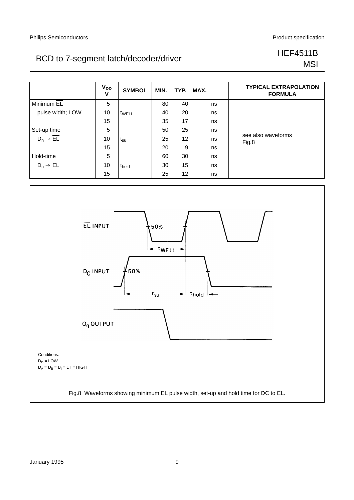## BCD to 7-segment latch/decoder/driver<br>
BCD to 7-segment latch/decoder/driver

# **MSI**

|                                 | <b>V<sub>DD</sub></b><br>V | <b>SYMBOL</b>              | MIN. | TYP. MAX. |    | <b>TYPICAL EXTRAPOLATION</b><br><b>FORMULA</b> |
|---------------------------------|----------------------------|----------------------------|------|-----------|----|------------------------------------------------|
| Minimum EL                      | 5                          |                            | 80   | 40        | ns |                                                |
| pulse width; LOW                | 10                         | t <sub>WELL</sub>          | 40   | 20        | ns |                                                |
|                                 | 15                         |                            | 35   | 17        | ns |                                                |
| Set-up time                     | 5                          |                            | 50   | 25        | ns |                                                |
| $D_n \rightarrow \overline{EL}$ | 10                         | $\mathsf{t}_{\mathsf{su}}$ | 25   | 12        | ns | see also waveforms<br>Fig.8                    |
|                                 | 15                         |                            | 20   | 9         | ns |                                                |
| Hold-time                       | 5                          |                            | 60   | 30        | ns |                                                |
| $D_n \rightarrow \overline{EL}$ | 10                         | t <sub>hold</sub>          | 30   | 15        | ns |                                                |
|                                 | 15                         |                            | 25   | 12        | ns |                                                |

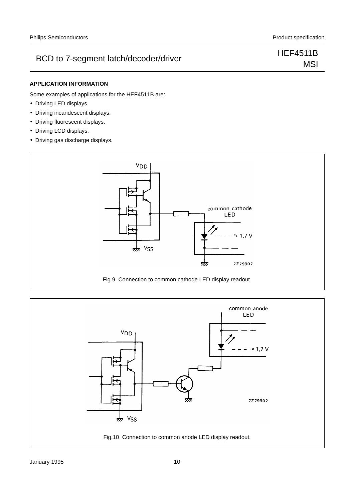## BCD to 7-segment latch/decoder/driver Match/decoder/driver

# **MSI**

#### **APPLICATION INFORMATION**

Some examples of applications for the HEF4511B are:

- Driving LED displays.
- Driving incandescent displays.
- Driving fluorescent displays.
- Driving LCD displays.
- Driving gas discharge displays.